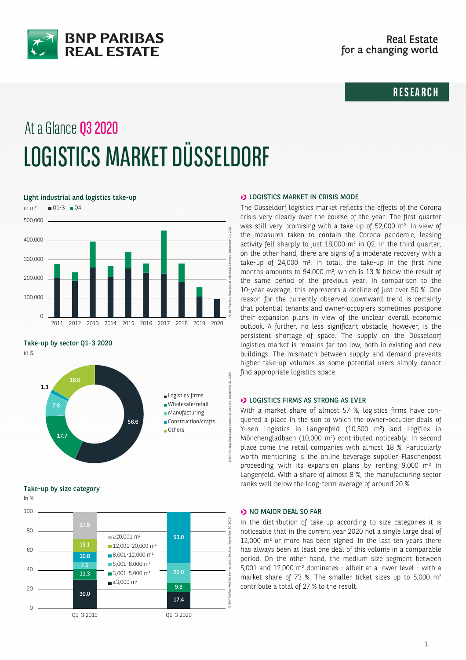

## **RESEARCH**

# At a Glance Q3 2020 LOGISTICS MARKET DÜSSELDORF

Light industrial and logistics take-up



Take-up by sector Q1-3 2020

in %



Take-up by size category



#### **D** LOGISTICS MARKET IN CRISIS MODE

The Düsseldorf logistics market reflects the effects of the Corona crisis very clearly over the course of the year. The first quarter was still very promising with a take-up of 52,000 m². In view of the measures taken to contain the Corona pandemic, leasing activity fell sharply to just 18,000 m² in Q2. In the third quarter, on the other hand, there are signs of a moderate recovery with a take-up of 24,000 m². In total, the take-up in the first nine months amounts to 94,000 m², which is 13 % below the result of the same period of the previous year. In comparison to the 10-year average, this represents a decline of just over 50 %. One reason for the currently observed downward trend is certainly that potential tenants and owner-occupiers sometimes postpone their expansion plans in view of the unclear overall economic outlook. A further, no less significant obstacle, however, is the persistent shortage of space. The supply on the Düsseldorf logistics market is remains far too low, both in existing and new buildings. The mismatch between supply and demand prevents higher take-up volumes as some potential users simply cannot find appropriate logistics space.

#### **DE LOGISTICS FIRMS AS STRONG AS EVER**

With a market share of almost 57 %, logistics firms have conquered a place in the sun to which the owner-occupier deals of Yusen Logistics in Langenfeld (10,500 m²) and Logiflex in Mönchengladbach (10,000 m²) contributed noticeably. In second place come the retail companies with almost 18 %. Particularly worth mentioning is the online beverage supplier Flaschenpost proceeding with its expansion plans by renting 9,000 m² in Langenfeld. With a share of almost 8 %, the manufacturing sector ranks well below the long-term average of around 20 %.

#### $\rightarrow$  NO MAJOR DEAL SO FAR

In the distribution of take-up according to size categories it is noticeable that in the current year 2020 not a single large deal of 12,000 m² or more has been signed. In the last ten years there has always been at least one deal of this volume in a comparable period. On the other hand, the medium size segment between 5,001 and 12,000 m² dominates - albeit at a lower level - with a market share of 73 %. The smaller ticket sizes up to 5,000 m<sup>2</sup> contribute a total of 27 % to the result.